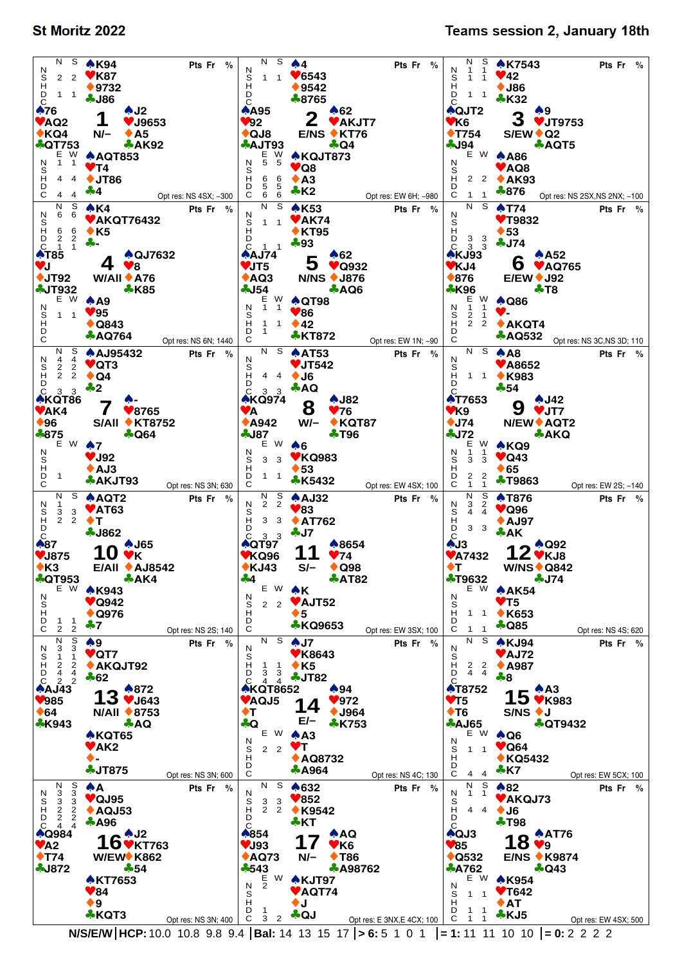